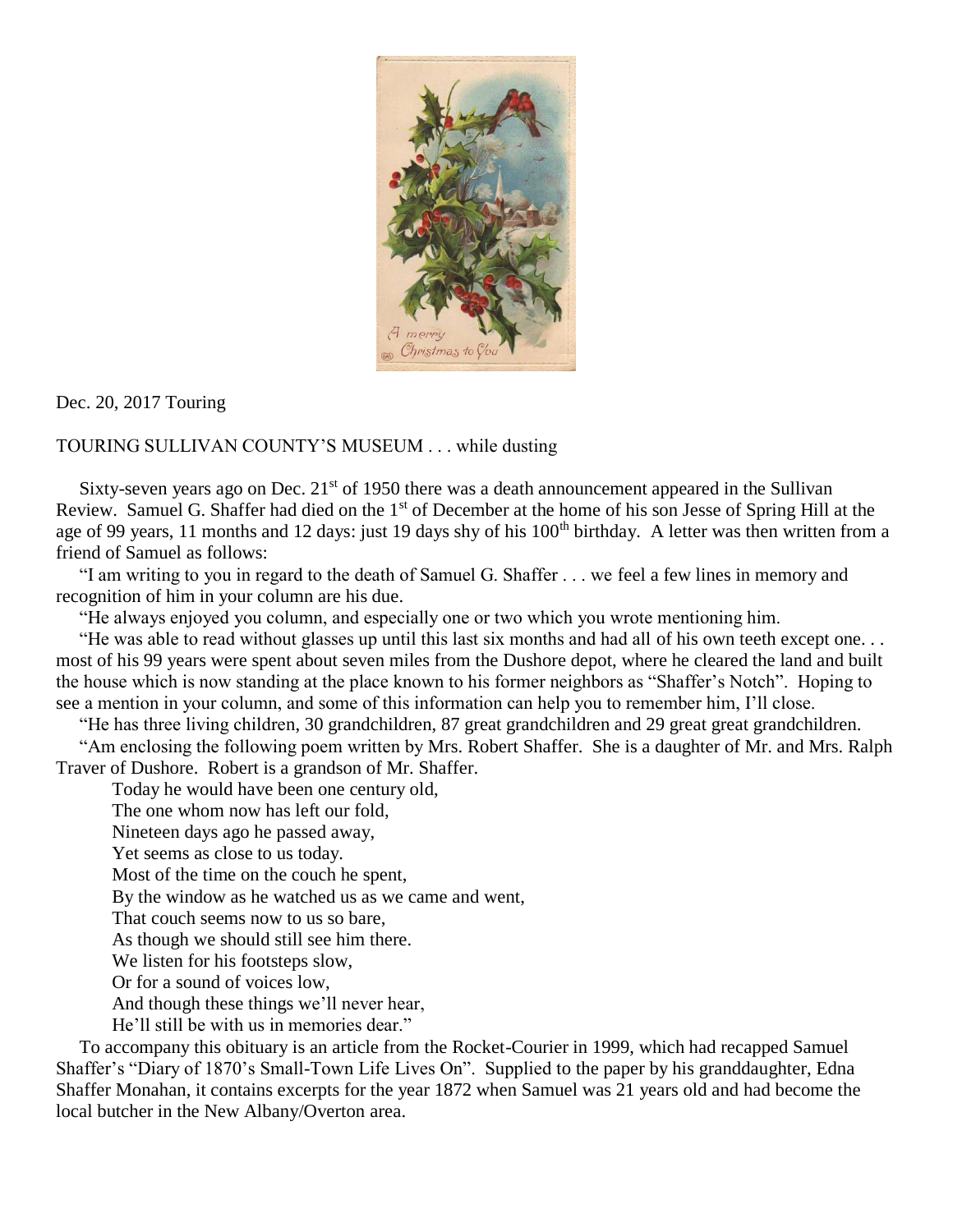

Dec. 20, 2017 Touring

TOURING SULLIVAN COUNTY'S MUSEUM . . . while dusting

Sixty-seven years ago on Dec.  $21<sup>st</sup>$  of 1950 there was a death announcement appeared in the Sullivan Review. Samuel G. Shaffer had died on the 1<sup>st</sup> of December at the home of his son Jesse of Spring Hill at the age of 99 years, 11 months and 12 days: just 19 days shy of his 100<sup>th</sup> birthday. A letter was then written from a friend of Samuel as follows:

 "I am writing to you in regard to the death of Samuel G. Shaffer . . . we feel a few lines in memory and recognition of him in your column are his due.

"He always enjoyed you column, and especially one or two which you wrote mentioning him.

 "He was able to read without glasses up until this last six months and had all of his own teeth except one. . . most of his 99 years were spent about seven miles from the Dushore depot, where he cleared the land and built the house which is now standing at the place known to his former neighbors as "Shaffer's Notch". Hoping to see a mention in your column, and some of this information can help you to remember him, I'll close.

"He has three living children, 30 grandchildren, 87 great grandchildren and 29 great great grandchildren.

 "Am enclosing the following poem written by Mrs. Robert Shaffer. She is a daughter of Mr. and Mrs. Ralph Traver of Dushore. Robert is a grandson of Mr. Shaffer.

Today he would have been one century old,

The one whom now has left our fold,

Nineteen days ago he passed away,

Yet seems as close to us today.

Most of the time on the couch he spent,

By the window as he watched us as we came and went,

That couch seems now to us so bare,

As though we should still see him there.

We listen for his footsteps slow,

Or for a sound of voices low,

And though these things we'll never hear,

He'll still be with us in memories dear."

 To accompany this obituary is an article from the Rocket-Courier in 1999, which had recapped Samuel Shaffer's "Diary of 1870's Small-Town Life Lives On". Supplied to the paper by his granddaughter, Edna Shaffer Monahan, it contains excerpts for the year 1872 when Samuel was 21 years old and had become the local butcher in the New Albany/Overton area.